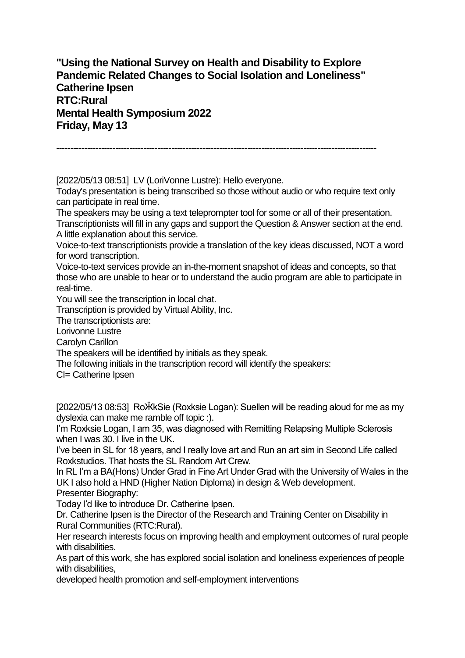**"Using the National Survey on Health and Disability to Explore Pandemic Related Changes to Social Isolation and Loneliness" Catherine Ipsen RTC:Rural Mental Health Symposium 2022 Friday, May 13**

------------------------------------------------------------------------------------------------------------------

[2022/05/13 08:51] LV (LoriVonne Lustre): Hello everyone. Today's presentation is being transcribed so those without audio or who require text only can participate in real time.

The speakers may be using a text teleprompter tool for some or all of their presentation. Transcriptionists will fill in any gaps and support the Question & Answer section at the end. A little explanation about this service.

Voice-to-text transcriptionists provide a translation of the key ideas discussed, NOT a word for word transcription.

Voice-to-text services provide an in-the-moment snapshot of ideas and concepts, so that those who are unable to hear or to understand the audio program are able to participate in real-time.

You will see the transcription in local chat.

Transcription is provided by Virtual Ability, Inc.

The transcriptionists are:

Lorivonne Lustre

Carolyn Carillon

The speakers will be identified by initials as they speak.

The following initials in the transcription record will identify the speakers:

CI= Catherine Ipsen

[2022/05/13 08:53] Ro KkSie (Roxksie Logan): Suellen will be reading aloud for me as my dyslexia can make me ramble off topic :).

I'm Roxksie Logan, I am 35, was diagnosed with Remitting Relapsing Multiple Sclerosis when I was 30. I live in the UK.

I've been in SL for 18 years, and I really love art and Run an art sim in Second Life called Roxkstudios. That hosts the SL Random Art Crew.

In RL I'm a BA(Hons) Under Grad in Fine Art Under Grad with the University of Wales in the UK I also hold a HND (Higher Nation Diploma) in design & Web development. Presenter Biography:

Today I'd like to introduce Dr. Catherine Ipsen.

Dr. Catherine Ipsen is the Director of the Research and Training Center on Disability in Rural Communities (RTC:Rural).

Her research interests focus on improving health and employment outcomes of rural people with disabilities.

As part of this work, she has explored social isolation and loneliness experiences of people with disabilities,

developed health promotion and self-employment interventions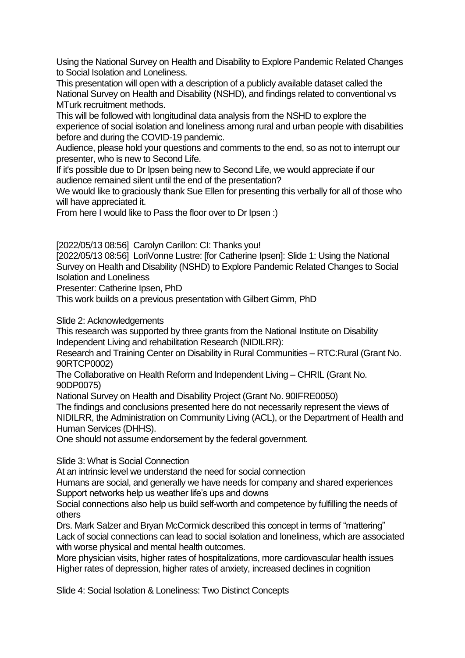Using the National Survey on Health and Disability to Explore Pandemic Related Changes to Social Isolation and Loneliness.

This presentation will open with a description of a publicly available dataset called the National Survey on Health and Disability (NSHD), and findings related to conventional vs MTurk recruitment methods.

This will be followed with longitudinal data analysis from the NSHD to explore the experience of social isolation and loneliness among rural and urban people with disabilities before and during the COVID-19 pandemic.

Audience, please hold your questions and comments to the end, so as not to interrupt our presenter, who is new to Second Life.

If it's possible due to Dr Ipsen being new to Second Life, we would appreciate if our audience remained silent until the end of the presentation?

We would like to graciously thank Sue Ellen for presenting this verbally for all of those who will have appreciated it.

From here I would like to Pass the floor over to Dr Ipsen :)

[2022/05/13 08:56] Carolyn Carillon: CI: Thanks you!

[2022/05/13 08:56] LoriVonne Lustre: [for Catherine Ipsen]: Slide 1: Using the National Survey on Health and Disability (NSHD) to Explore Pandemic Related Changes to Social Isolation and Loneliness

Presenter: Catherine Ipsen, PhD

This work builds on a previous presentation with Gilbert Gimm, PhD

Slide 2: Acknowledgements

This research was supported by three grants from the National Institute on Disability Independent Living and rehabilitation Research (NIDILRR):

Research and Training Center on Disability in Rural Communities – RTC:Rural (Grant No. 90RTCP0002)

The Collaborative on Health Reform and Independent Living – CHRIL (Grant No. 90DP0075)

National Survey on Health and Disability Project (Grant No. 90IFRE0050)

The findings and conclusions presented here do not necessarily represent the views of NIDILRR, the Administration on Community Living (ACL), or the Department of Health and Human Services (DHHS).

One should not assume endorsement by the federal government.

Slide 3: What is Social Connection

At an intrinsic level we understand the need for social connection

Humans are social, and generally we have needs for company and shared experiences Support networks help us weather life's ups and downs

Social connections also help us build self-worth and competence by fulfilling the needs of others

Drs. Mark Salzer and Bryan McCormick described this concept in terms of "mattering" Lack of social connections can lead to social isolation and loneliness, which are associated with worse physical and mental health outcomes.

More physician visits, higher rates of hospitalizations, more cardiovascular health issues Higher rates of depression, higher rates of anxiety, increased declines in cognition

Slide 4: Social Isolation & Loneliness: Two Distinct Concepts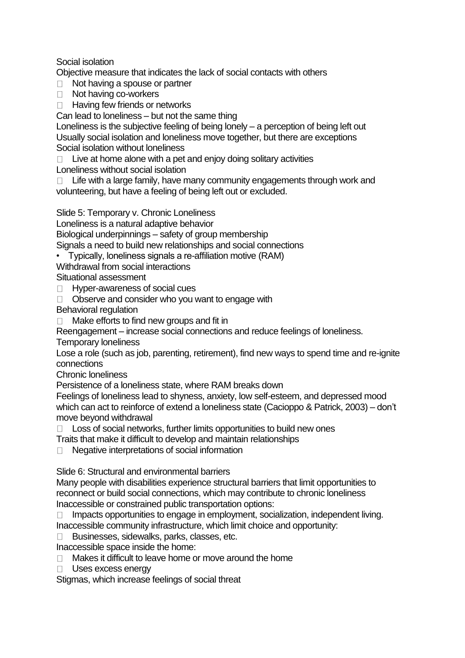## Social isolation

Objective measure that indicates the lack of social contacts with others

- □ Not having a spouse or partner
- □ Not having co-workers
- $\Box$  Having few friends or networks

Can lead to loneliness – but not the same thing

Loneliness is the subjective feeling of being lonely – a perception of being left out Usually social isolation and loneliness move together, but there are exceptions Social isolation without loneliness

 $\Box$  Live at home alone with a pet and enjoy doing solitary activities Loneliness without social isolation

 $\Box$  Life with a large family, have many community engagements through work and volunteering, but have a feeling of being left out or excluded.

Slide 5: Temporary v. Chronic Loneliness

Loneliness is a natural adaptive behavior

Biological underpinnings – safety of group membership

Signals a need to build new relationships and social connections

• Typically, loneliness signals a re-affiliation motive (RAM)

Withdrawal from social interactions

Situational assessment

- $\Box$  Hyper-awareness of social cues
- $\Box$  Observe and consider who you want to engage with
- Behavioral regulation

 $\Box$  Make efforts to find new groups and fit in

Reengagement – increase social connections and reduce feelings of loneliness.

Temporary loneliness

Lose a role (such as job, parenting, retirement), find new ways to spend time and re-ignite connections

Chronic loneliness

Persistence of a loneliness state, where RAM breaks down

Feelings of loneliness lead to shyness, anxiety, low self-esteem, and depressed mood which can act to reinforce of extend a loneliness state (Cacioppo & Patrick, 2003) – don't move beyond withdrawal

 $\Box$  Loss of social networks, further limits opportunities to build new ones

Traits that make it difficult to develop and maintain relationships

□ Negative interpretations of social information

Slide 6: Structural and environmental barriers

Many people with disabilities experience structural barriers that limit opportunities to reconnect or build social connections, which may contribute to chronic loneliness Inaccessible or constrained public transportation options:

 $\Box$  Impacts opportunities to engage in employment, socialization, independent living. Inaccessible community infrastructure, which limit choice and opportunity:

□ Businesses, sidewalks, parks, classes, etc.

Inaccessible space inside the home:

□ Makes it difficult to leave home or move around the home

**Uses excess energy** 

Stigmas, which increase feelings of social threat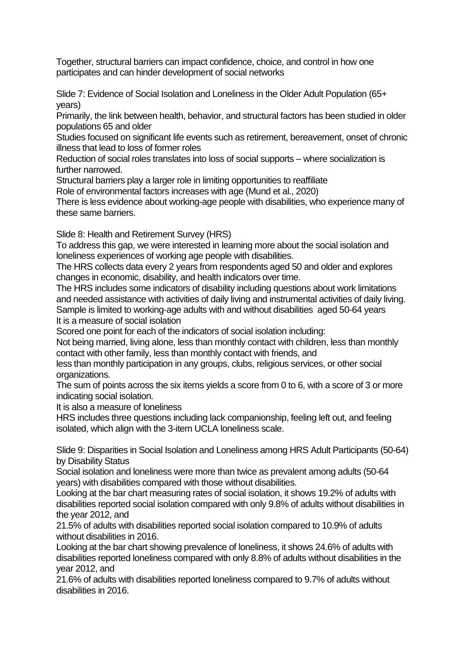Together, structural barriers can impact confidence, choice, and control in how one participates and can hinder development of social networks

Slide 7: Evidence of Social Isolation and Loneliness in the Older Adult Population (65+ years)

Primarily, the link between health, behavior, and structural factors has been studied in older populations 65 and older

Studies focused on significant life events such as retirement, bereavement, onset of chronic illness that lead to loss of former roles

Reduction of social roles translates into loss of social supports – where socialization is further narrowed.

Structural barriers play a larger role in limiting opportunities to reaffiliate

Role of environmental factors increases with age (Mund et al., 2020)

There is less evidence about working-age people with disabilities, who experience many of these same barriers.

Slide 8: Health and Retirement Survey (HRS)

To address this gap, we were interested in learning more about the social isolation and loneliness experiences of working age people with disabilities.

The HRS collects data every 2 years from respondents aged 50 and older and explores changes in economic, disability, and health indicators over time.

The HRS includes some indicators of disability including questions about work limitations and needed assistance with activities of daily living and instrumental activities of daily living. Sample is limited to working-age adults with and without disabilities aged 50-64 years It is a measure of social isolation

Scored one point for each of the indicators of social isolation including:

Not being married, living alone, less than monthly contact with children, less than monthly contact with other family, less than monthly contact with friends, and

less than monthly participation in any groups, clubs, religious services, or other social organizations.

The sum of points across the six items yields a score from 0 to 6, with a score of 3 or more indicating social isolation.

It is also a measure of loneliness

HRS includes three questions including lack companionship, feeling left out, and feeling isolated, which align with the 3-item UCLA loneliness scale.

Slide 9: Disparities in Social Isolation and Loneliness among HRS Adult Participants (50-64) by Disability Status

Social isolation and loneliness were more than twice as prevalent among adults (50-64 years) with disabilities compared with those without disabilities.

Looking at the bar chart measuring rates of social isolation, it shows 19.2% of adults with disabilities reported social isolation compared with only 9.8% of adults without disabilities in the year 2012, and

21.5% of adults with disabilities reported social isolation compared to 10.9% of adults without disabilities in 2016.

Looking at the bar chart showing prevalence of loneliness, it shows 24.6% of adults with disabilities reported loneliness compared with only 8.8% of adults without disabilities in the year 2012, and

21.6% of adults with disabilities reported loneliness compared to 9.7% of adults without disabilities in 2016.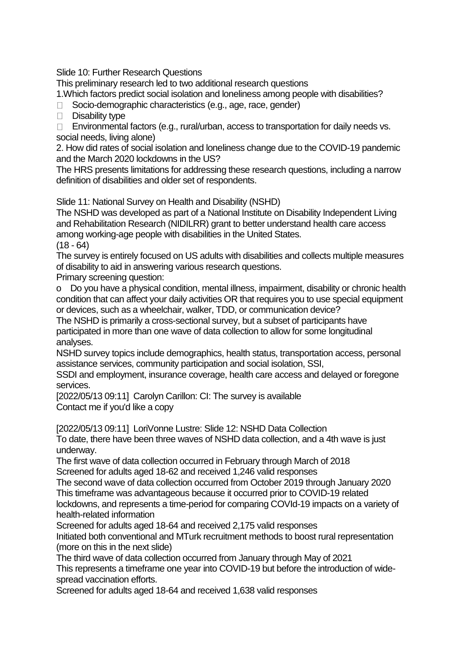Slide 10: Further Research Questions

This preliminary research led to two additional research questions

1.Which factors predict social isolation and loneliness among people with disabilities?

 $\Box$  Socio-demographic characteristics (e.g., age, race, gender)

 $\Box$  Disability type

 $\Box$  Environmental factors (e.g., rural/urban, access to transportation for daily needs vs. social needs, living alone)

2. How did rates of social isolation and loneliness change due to the COVID-19 pandemic and the March 2020 lockdowns in the US?

The HRS presents limitations for addressing these research questions, including a narrow definition of disabilities and older set of respondents.

Slide 11: National Survey on Health and Disability (NSHD)

The NSHD was developed as part of a National Institute on Disability Independent Living and Rehabilitation Research (NIDILRR) grant to better understand health care access among working-age people with disabilities in the United States.  $(18 - 64)$ 

The survey is entirely focused on US adults with disabilities and collects multiple measures of disability to aid in answering various research questions.

Primary screening question:

o Do you have a physical condition, mental illness, impairment, disability or chronic health condition that can affect your daily activities OR that requires you to use special equipment or devices, such as a wheelchair, walker, TDD, or communication device?

The NSHD is primarily a cross-sectional survey, but a subset of participants have participated in more than one wave of data collection to allow for some longitudinal analyses.

NSHD survey topics include demographics, health status, transportation access, personal assistance services, community participation and social isolation, SSI,

SSDI and employment, insurance coverage, health care access and delayed or foregone services.

[2022/05/13 09:11] Carolyn Carillon: CI: The survey is available Contact me if you'd like a copy

[2022/05/13 09:11] LoriVonne Lustre: Slide 12: NSHD Data Collection

To date, there have been three waves of NSHD data collection, and a 4th wave is just underway.

The first wave of data collection occurred in February through March of 2018 Screened for adults aged 18-62 and received 1,246 valid responses

The second wave of data collection occurred from October 2019 through January 2020 This timeframe was advantageous because it occurred prior to COVID-19 related

lockdowns, and represents a time-period for comparing COVId-19 impacts on a variety of health-related information

Screened for adults aged 18-64 and received 2,175 valid responses

Initiated both conventional and MTurk recruitment methods to boost rural representation (more on this in the next slide)

The third wave of data collection occurred from January through May of 2021

This represents a timeframe one year into COVID-19 but before the introduction of widespread vaccination efforts.

Screened for adults aged 18-64 and received 1,638 valid responses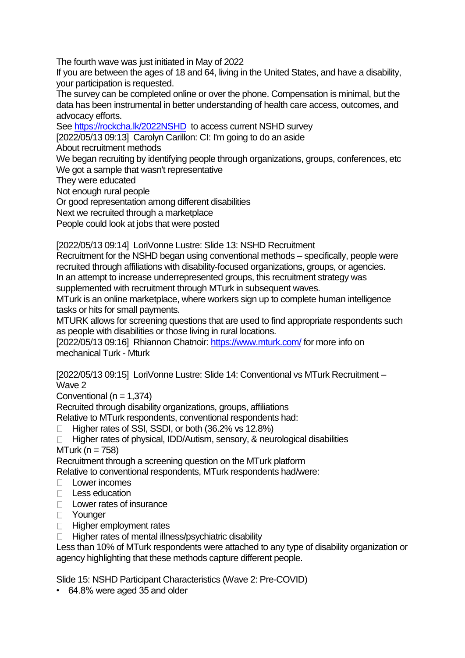The fourth wave was just initiated in May of 2022

If you are between the ages of 18 and 64, living in the United States, and have a disability, your participation is requested.

The survey can be completed online or over the phone. Compensation is minimal, but the data has been instrumental in better understanding of health care access, outcomes, and advocacy efforts.

See<https://rockcha.lk/2022NSHD> to access current NSHD survey

[2022/05/13 09:13] Carolyn Carillon: CI: I'm going to do an aside

About recruitment methods

We began recruiting by identifying people through organizations, groups, conferences, etc We got a sample that wasn't representative

They were educated

Not enough rural people

Or good representation among different disabilities

Next we recruited through a marketplace

People could look at jobs that were posted

[2022/05/13 09:14] LoriVonne Lustre: Slide 13: NSHD Recruitment

Recruitment for the NSHD began using conventional methods – specifically, people were recruited through affiliations with disability-focused organizations, groups, or agencies.

In an attempt to increase underrepresented groups, this recruitment strategy was supplemented with recruitment through MTurk in subsequent waves.

MTurk is an online marketplace, where workers sign up to complete human intelligence tasks or hits for small payments.

MTURK allows for screening questions that are used to find appropriate respondents such as people with disabilities or those living in rural locations.

[2022/05/13 09:16] Rhiannon Chatnoir:<https://www.mturk.com/> for more info on mechanical Turk - Mturk

[2022/05/13 09:15] LoriVonne Lustre: Slide 14: Conventional vs MTurk Recruitment – Wave 2

Conventional ( $n = 1,374$ )

Recruited through disability organizations, groups, affiliations

Relative to MTurk respondents, conventional respondents had:

- $\Box$  Higher rates of SSI, SSDI, or both (36.2% vs 12.8%)
- □ Higher rates of physical, IDD/Autism, sensory, & neurological disabilities

MTurk ( $n = 758$ )

Recruitment through a screening question on the MTurk platform

Relative to conventional respondents, MTurk respondents had/were:

- Lower incomes
- $\Box$  Less education
- D Lower rates of insurance
- D Younger
- **Higher employment rates**

 $\Box$  Higher rates of mental illness/psychiatric disability

Less than 10% of MTurk respondents were attached to any type of disability organization or agency highlighting that these methods capture different people.

Slide 15: NSHD Participant Characteristics (Wave 2: Pre-COVID)

• 64.8% were aged 35 and older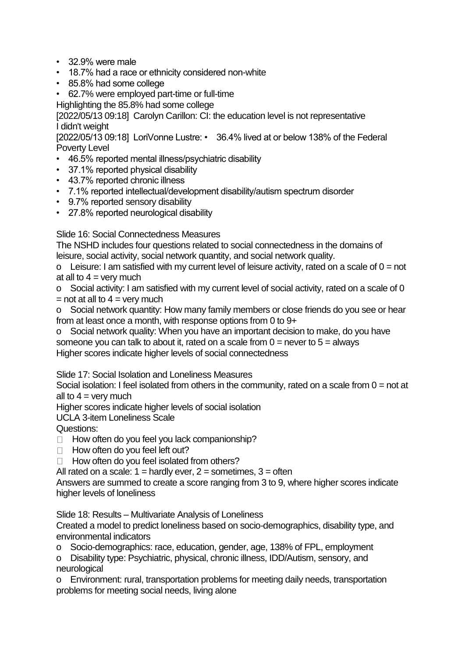- 32.9% were male
- 18.7% had a race or ethnicity considered non-white
- 85.8% had some college
- 62.7% were employed part-time or full-time

Highlighting the 85.8% had some college

[2022/05/13 09:18] Carolyn Carillon: CI: the education level is not representative I didn't weight

[2022/05/13 09:18] LoriVonne Lustre: • 36.4% lived at or below 138% of the Federal Poverty Level

- 46.5% reported mental illness/psychiatric disability
- 37.1% reported physical disability
- 43.7% reported chronic illness
- 7.1% reported intellectual/development disability/autism spectrum disorder
- 9.7% reported sensory disability
- 27.8% reported neurological disability

Slide 16: Social Connectedness Measures

The NSHD includes four questions related to social connectedness in the domains of leisure, social activity, social network quantity, and social network quality.

o Leisure: I am satisfied with my current level of leisure activity, rated on a scale of  $0 = not$ at all to  $4 =$  very much

o Social activity: I am satisfied with my current level of social activity, rated on a scale of 0  $=$  not at all to  $4 =$  very much

o Social network quantity: How many family members or close friends do you see or hear from at least once a month, with response options from 0 to 9+

o Social network quality: When you have an important decision to make, do you have someone you can talk to about it, rated on a scale from  $0 =$  never to  $5 =$  always Higher scores indicate higher levels of social connectedness

Slide 17: Social Isolation and Loneliness Measures

Social isolation: I feel isolated from others in the community, rated on a scale from  $0 = not$  at all to  $4 =$  very much

Higher scores indicate higher levels of social isolation

UCLA 3-item Loneliness Scale

Questions:

- $\Box$  How often do you feel you lack companionship?
- $\Box$  How often do you feel left out?

 $\Box$  How often do you feel isolated from others?

All rated on a scale:  $1 =$  hardly ever,  $2 =$  sometimes,  $3 =$  often

Answers are summed to create a score ranging from 3 to 9, where higher scores indicate higher levels of loneliness

Slide 18: Results – Multivariate Analysis of Loneliness

Created a model to predict loneliness based on socio-demographics, disability type, and environmental indicators

o Socio-demographics: race, education, gender, age, 138% of FPL, employment

o Disability type: Psychiatric, physical, chronic illness, IDD/Autism, sensory, and neurological

o Environment: rural, transportation problems for meeting daily needs, transportation problems for meeting social needs, living alone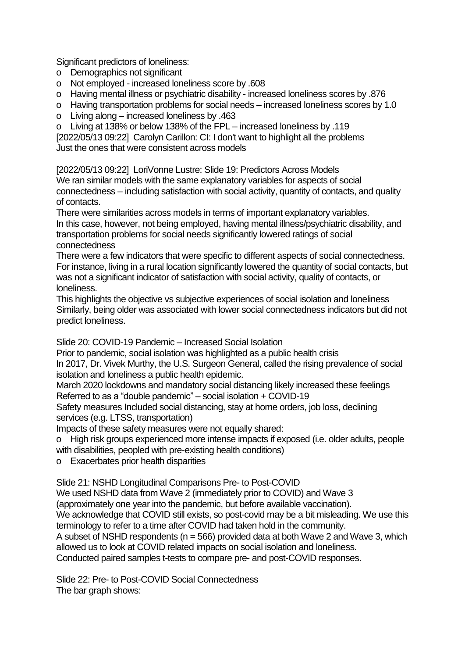Significant predictors of loneliness:

- o Demographics not significant
- o Not employed increased loneliness score by .608
- o Having mental illness or psychiatric disability increased loneliness scores by .876
- o Having transportation problems for social needs increased loneliness scores by 1.0
- o Living along increased loneliness by .463
- o Living at 138% or below 138% of the FPL increased loneliness by .119

[2022/05/13 09:22] Carolyn Carillon: CI: I don't want to highlight all the problems Just the ones that were consistent across models

[2022/05/13 09:22] LoriVonne Lustre: Slide 19: Predictors Across Models We ran similar models with the same explanatory variables for aspects of social connectedness – including satisfaction with social activity, quantity of contacts, and quality of contacts.

There were similarities across models in terms of important explanatory variables.

In this case, however, not being employed, having mental illness/psychiatric disability, and transportation problems for social needs significantly lowered ratings of social connectedness

There were a few indicators that were specific to different aspects of social connectedness. For instance, living in a rural location significantly lowered the quantity of social contacts, but was not a significant indicator of satisfaction with social activity, quality of contacts, or loneliness.

This highlights the objective vs subjective experiences of social isolation and loneliness Similarly, being older was associated with lower social connectedness indicators but did not predict loneliness.

Slide 20: COVID-19 Pandemic – Increased Social Isolation

Prior to pandemic, social isolation was highlighted as a public health crisis

In 2017, Dr. Vivek Murthy, the U.S. Surgeon General, called the rising prevalence of social isolation and loneliness a public health epidemic.

March 2020 lockdowns and mandatory social distancing likely increased these feelings Referred to as a "double pandemic" – social isolation + COVID-19

Safety measures Included social distancing, stay at home orders, job loss, declining services (e.g. LTSS, transportation)

Impacts of these safety measures were not equally shared:

o High risk groups experienced more intense impacts if exposed (i.e. older adults, people with disabilities, peopled with pre-existing health conditions)

o Exacerbates prior health disparities

Slide 21: NSHD Longitudinal Comparisons Pre- to Post-COVID

We used NSHD data from Wave 2 (immediately prior to COVID) and Wave 3

(approximately one year into the pandemic, but before available vaccination).

We acknowledge that COVID still exists, so post-covid may be a bit misleading. We use this terminology to refer to a time after COVID had taken hold in the community.

A subset of NSHD respondents ( $n = 566$ ) provided data at both Wave 2 and Wave 3, which allowed us to look at COVID related impacts on social isolation and loneliness.

Conducted paired samples t-tests to compare pre- and post-COVID responses.

Slide 22: Pre- to Post-COVID Social Connectedness The bar graph shows: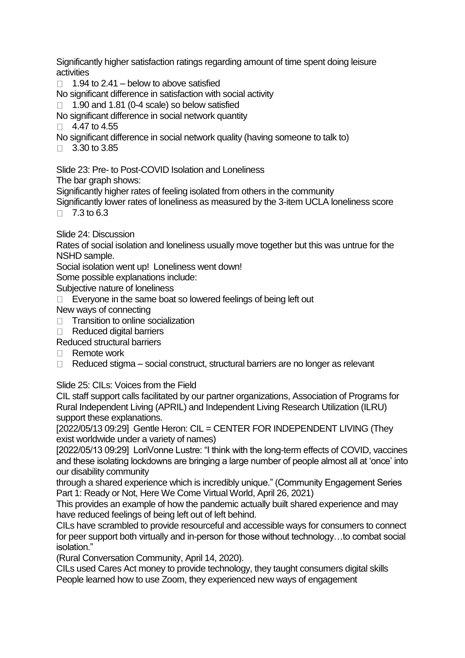Significantly higher satisfaction ratings regarding amount of time spent doing leisure activities

 $\Box$  1.94 to 2.41 – below to above satisfied

No significant difference in satisfaction with social activity

 $\Box$  1.90 and 1.81 (0-4 scale) so below satisfied

No significant difference in social network quantity

- $\Box$  4.47 to 4.55
- No significant difference in social network quality (having someone to talk to)
- $\Box$  3.30 to 3.85

Slide 23: Pre- to Post-COVID Isolation and Loneliness

The bar graph shows:

Significantly higher rates of feeling isolated from others in the community

Significantly lower rates of loneliness as measured by the 3-item UCLA loneliness score  $\Box$  7.3 to 6.3

Slide 24: Discussion

Rates of social isolation and loneliness usually move together but this was untrue for the NSHD sample.

Social isolation went up! Loneliness went down!

Some possible explanations include:

Subjective nature of loneliness

 $\Box$  Everyone in the same boat so lowered feelings of being left out

New ways of connecting

- $\Box$  Transition to online socialization
- $\Box$  Reduced digital barriers
- Reduced structural barriers
- $\Box$  Remote work
- $\Box$  Reduced stigma social construct, structural barriers are no longer as relevant

Slide 25: CILs: Voices from the Field

CIL staff support calls facilitated by our partner organizations, Association of Programs for Rural Independent Living (APRIL) and Independent Living Research Utilization (ILRU) support these explanations.

[2022/05/13 09:29] Gentle Heron: CIL = CENTER FOR INDEPENDENT LIVING (They exist worldwide under a variety of names)

[2022/05/13 09:29] LoriVonne Lustre: "I think with the long-term effects of COVID, vaccines and these isolating lockdowns are bringing a large number of people almost all at 'once' into our disability community

through a shared experience which is incredibly unique." (Community Engagement Series Part 1: Ready or Not, Here We Come Virtual World, April 26, 2021)

This provides an example of how the pandemic actually built shared experience and may have reduced feelings of being left out of left behind.

CILs have scrambled to provide resourceful and accessible ways for consumers to connect for peer support both virtually and in-person for those without technology...to combat social isolation."

(Rural Conversation Community, April 14, 2020).

CILs used Cares Act money to provide technology, they taught consumers digital skills People learned how to use Zoom, they experienced new ways of engagement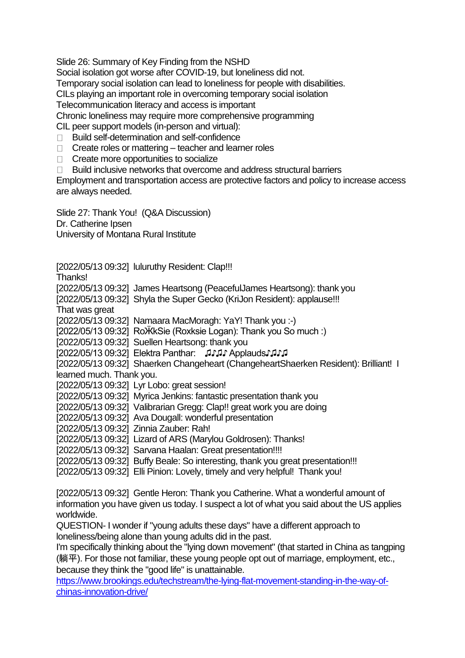Slide 26: Summary of Key Finding from the NSHD

Social isolation got worse after COVID-19, but loneliness did not.

Temporary social isolation can lead to loneliness for people with disabilities.

CILs playing an important role in overcoming temporary social isolation

Telecommunication literacy and access is important

Chronic loneliness may require more comprehensive programming

CIL peer support models (in-person and virtual):

- □ Build self-determination and self-confidence
- $\Box$  Create roles or mattering teacher and learner roles
- □ Create more opportunities to socialize
- □ Build inclusive networks that overcome and address structural barriers

Employment and transportation access are protective factors and policy to increase access are always needed.

Slide 27: Thank You! (Q&A Discussion) Dr. Catherine Ipsen University of Montana Rural Institute

[2022/05/13 09:32] luluruthy Resident: Clap!!! Thanks! [2022/05/13 09:32] James Heartsong (PeacefulJames Heartsong): thank you [2022/05/13 09:32] Shyla the Super Gecko (KriJon Resident): applause!!! That was great [2022/05/13 09:32] Namaara MacMoragh: YaY! Thank you :-) [2022/05/13 09:32] RoӜkSie (Roxksie Logan): Thank you So much :) [2022/05/13 09:32] Suellen Heartsong: thank you [2022/05/13 09:32] Elektra Panthar: ♫♪♫♪ Applauds♪♫♪♫ [2022/05/13 09:32] Shaerken Changeheart (ChangeheartShaerken Resident): Brilliant! I learned much. Thank you. [2022/05/13 09:32] Lyr Lobo: great session! [2022/05/13 09:32] Myrica Jenkins: fantastic presentation thank you [2022/05/13 09:32] Valibrarian Gregg: Clap!! great work you are doing [2022/05/13 09:32] Ava Dougall: wonderful presentation [2022/05/13 09:32] Zinnia Zauber: Rah! [2022/05/13 09:32] Lizard of ARS (Marylou Goldrosen): Thanks! [2022/05/13 09:32] Sarvana Haalan: Great presentation!!!! [2022/05/13 09:32] Buffy Beale: So interesting, thank you great presentation!!! [2022/05/13 09:32] Elli Pinion: Lovely, timely and very helpful! Thank you!

[2022/05/13 09:32] Gentle Heron: Thank you Catherine. What a wonderful amount of information you have given us today. I suspect a lot of what you said about the US applies worldwide.

QUESTION- I wonder if "young adults these days" have a different approach to loneliness/being alone than young adults did in the past.

I'm specifically thinking about the "lying down movement" (that started in China as tangping (躺平). For those not familiar, these young people opt out of marriage, employment, etc., because they think the "good life" is unattainable.

[https://www.brookings.edu/techstream/the-lying-flat-movement-standing-in-the-way-of](https://www.brookings.edu/techstream/the-lying-flat-movement-standing-in-the-way-of-chinas-innovation-drive/)[chinas-innovation-drive/](https://www.brookings.edu/techstream/the-lying-flat-movement-standing-in-the-way-of-chinas-innovation-drive/)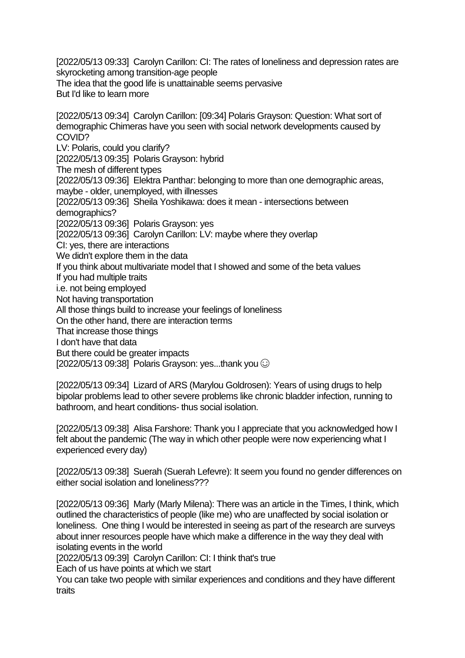[2022/05/13 09:33] Carolyn Carillon: CI: The rates of loneliness and depression rates are skyrocketing among transition-age people The idea that the good life is unattainable seems pervasive But I'd like to learn more

[2022/05/13 09:34] Carolyn Carillon: [09:34] Polaris Grayson: Question: What sort of demographic Chimeras have you seen with social network developments caused by COVID? LV: Polaris, could you clarify? [2022/05/13 09:35] Polaris Grayson: hybrid The mesh of different types [2022/05/13 09:36] Elektra Panthar: belonging to more than one demographic areas, maybe - older, unemployed, with illnesses [2022/05/13 09:36] Sheila Yoshikawa: does it mean - intersections between demographics? [2022/05/13 09:36] Polaris Grayson: yes [2022/05/13 09:36] Carolyn Carillon: LV: maybe where they overlap CI: yes, there are interactions We didn't explore them in the data If you think about multivariate model that I showed and some of the beta values If you had multiple traits i.e. not being employed Not having transportation All those things build to increase your feelings of loneliness On the other hand, there are interaction terms That increase those things I don't have that data But there could be greater impacts  $[2022/05/13 09:38]$  Polaris Grayson: yes...thank you  $\odot$ 

[2022/05/13 09:34] Lizard of ARS (Marylou Goldrosen): Years of using drugs to help bipolar problems lead to other severe problems like chronic bladder infection, running to bathroom, and heart conditions- thus social isolation.

[2022/05/13 09:38] Alisa Farshore: Thank you I appreciate that you acknowledged how I felt about the pandemic (The way in which other people were now experiencing what I experienced every day)

[2022/05/13 09:38] Suerah (Suerah Lefevre): It seem you found no gender differences on either social isolation and loneliness???

[2022/05/13 09:36] Marly (Marly Milena): There was an article in the Times, I think, which outlined the characteristics of people (like me) who are unaffected by social isolation or loneliness. One thing I would be interested in seeing as part of the research are surveys about inner resources people have which make a difference in the way they deal with isolating events in the world

[2022/05/13 09:39] Carolyn Carillon: CI: I think that's true

Each of us have points at which we start

You can take two people with similar experiences and conditions and they have different traits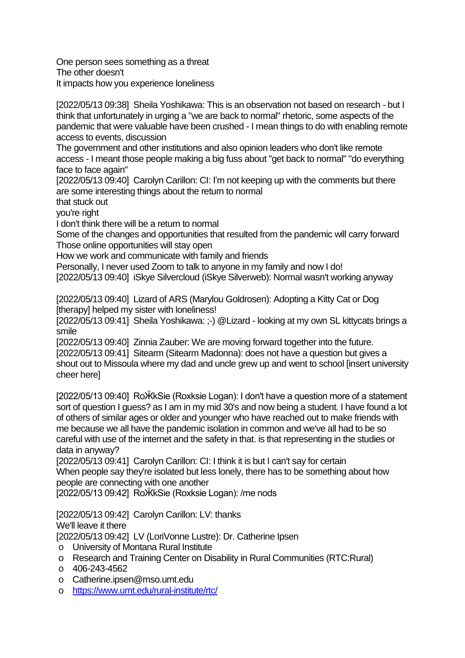One person sees something as a threat The other doesn't It impacts how you experience loneliness

[2022/05/13 09:38] Sheila Yoshikawa: This is an observation not based on research - but I think that unfortunately in urging a "we are back to normal" rhetoric, some aspects of the pandemic that were valuable have been crushed - I mean things to do with enabling remote access to events, discussion

The government and other institutions and also opinion leaders who don't like remote access - I meant those people making a big fuss about "get back to normal" "do everything face to face again"

[2022/05/13 09:40] Carolyn Carillon: CI: I'm not keeping up with the comments but there are some interesting things about the return to normal

that stuck out

you're right

I don't think there will be a return to normal

Some of the changes and opportunities that resulted from the pandemic will carry forward Those online opportunities will stay open

How we work and communicate with family and friends

Personally, I never used Zoom to talk to anyone in my family and now I do!

[2022/05/13 09:40] iSkye Silvercloud (iSkye Silverweb): Normal wasn't working anyway

[2022/05/13 09:40] Lizard of ARS (Marylou Goldrosen): Adopting a Kitty Cat or Dog [therapy] helped my sister with loneliness!

[2022/05/13 09:41] Sheila Yoshikawa: ;-) @Lizard - looking at my own SL kittycats brings a smile

[2022/05/13 09:40] Zinnia Zauber: We are moving forward together into the future. [2022/05/13 09:41] Sitearm (Sitearm Madonna): does not have a question but gives a shout out to Missoula where my dad and uncle grew up and went to school linsert university cheer here]

[2022/05/13 09:40] RoӜkSie (Roxksie Logan): I don't have a question more of a statement sort of question I guess? as I am in my mid 30's and now being a student. I have found a lot of others of similar ages or older and younger who have reached out to make friends with me because we all have the pandemic isolation in common and we've all had to be so careful with use of the internet and the safety in that. is that representing in the studies or data in anyway?

[2022/05/13 09:41] Carolyn Carillon: CI: I think it is but I can't say for certain When people say they're isolated but less lonely, there has to be something about how people are connecting with one another

[2022/05/13 09:42] RoӜkSie (Roxksie Logan): /me nods

[2022/05/13 09:42] Carolyn Carillon: LV: thanks

We'll leave it there

[2022/05/13 09:42] LV (LoriVonne Lustre): Dr. Catherine Ipsen

- o University of Montana Rural Institute
- o Research and Training Center on Disability in Rural Communities (RTC:Rural)
- o 406-243-4562
- o Catherine.ipsen@mso.umt.edu
- o <https://www.umt.edu/rural-institute/rtc/>